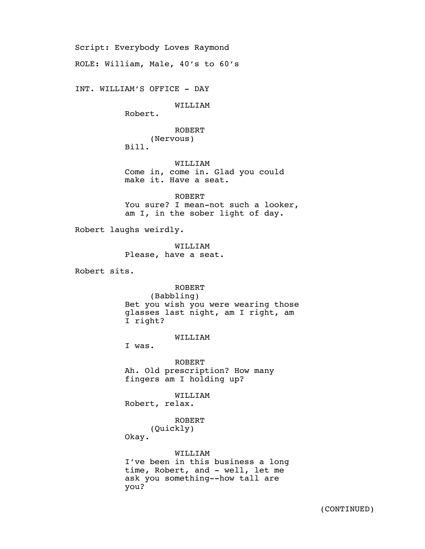Script: Everybody Loves Raymond ROLE: William, Male, 40's to 60's INT. WILLIAM'S OFFICE - DAY WILLIAM Robert. ROBERT (Nervous) Bill. WILLIAM Come in, come in. Glad you could make it. Have a seat. ROBERT You sure? I mean-not such a looker, am I, in the sober light of day. Robert laughs weirdly. WILLIAM Please, have a seat. Robert sits. ROBERT (Babbling) Bet you wish you were wearing those glasses last night, am I right, am I right? WILLIAM I was. ROBERT Ah. Old prescription? How many fingers am I holding up? WILLIAM Robert, relax. ROBERT (Quickly) Okay. WILLIAM I've been in this business a long time, Robert, and - well, let me ask you something--how tall are you?

(CONTINUED)

4/15/15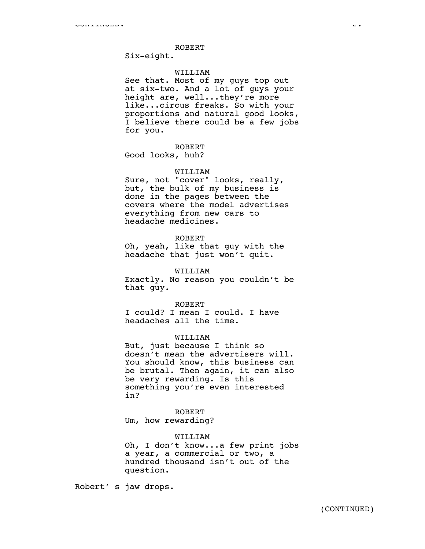#### ROBERT

Six-eight.

# WILLIAM

See that. Most of my guys top out at six-two. And a lot of guys your height are, well...they're more like...circus freaks. So with your proportions and natural good looks, I believe there could be a few jobs for you.

### ROBERT

Good looks, huh?

### WILLIAM

Sure, not "cover" looks, really, but, the bulk of my business is done in the pages between the covers where the model advertises everything from new cars to headache medicines.

# ROBERT

Oh, yeah, like that guy with the headache that just won't quit.

## WILLIAM

Exactly. No reason you couldn't be that guy.

### ROBERT

I could? I mean I could. I have headaches all the time.

## WILLIAM

But, just because I think so doesn't mean the advertisers will. You should know, this business can be brutal. Then again, it can also be very rewarding. Is this something you're even interested in?

# ROBERT Um, how rewarding?

#### WILLIAM

Oh, I don't know...a few print jobs a year, a commercial or two, a hundred thousand isn't out of the question.

Robert' s jaw drops.